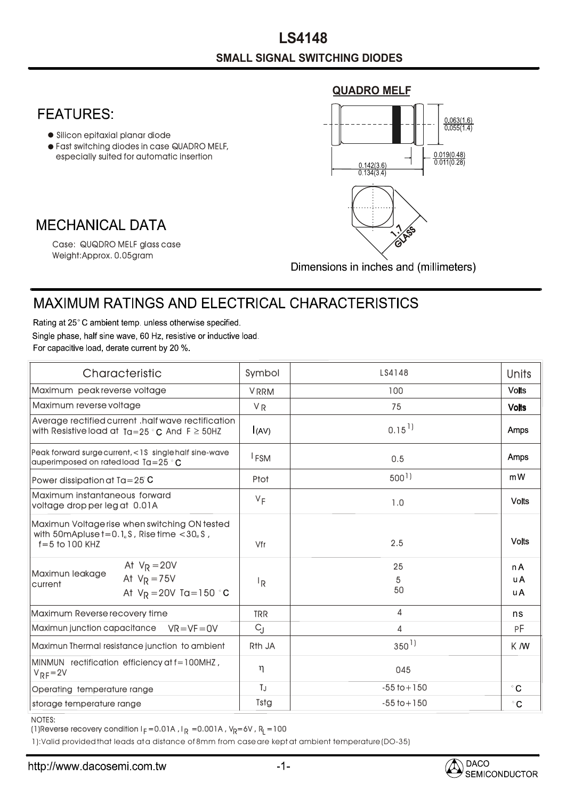## **QUADRO MELF FEATURES:**  $0.063(1.6)$  $0.055(1.4)$ Silicon epitaxial planar diode Fast switching diodes in case QUADRO MELF,  $\frac{0.019(0.48)}{0.011(0.28)}$ • especially suited for automatic insertion  $\frac{0.142(3.6)}{0.134(3.4)}$ **MECHANICAL DATA**  $\frac{1}{2}$ GLASS Case: QUQDRO MELF glass case Weight:Approx. 0.05gram Dimensions in inches and (millimeters)

## MAXIMUM RATINGS AND ELECTRICAL CHARACTERISTICS

Rating at 25°C ambient temp. unless otherwise specified. Single phase, half sine wave, 60 Hz, resistive or inductive load. For capacitive load, derate current by 20 %.

| Characteristic                                                                                                                                   | Symbol             | LS4148               | Units             |
|--------------------------------------------------------------------------------------------------------------------------------------------------|--------------------|----------------------|-------------------|
| Maximum peak reverse voltage                                                                                                                     | <b>VRRM</b>        | 100                  | <b>Volts</b>      |
| Maximum reverse voltage                                                                                                                          | V <sub>R</sub>     | 75                   | <b>Volts</b>      |
| Average rectified current . half wave rectification<br>with Resistive load at $Ta=25 °C$ And $F \geq 50$ HZ                                      | I(AV)              | $0.15$ <sup>1)</sup> | Amps              |
| Peak forward surge current, <1\$ single half sine-wave<br>auperimposed on rated load $Ta = 25$ $^{\circ}$ C                                      | <sup>I</sup> FSM   | 0.5                  | Amps              |
| Power dissipation at $Ta = 25^\circ C$                                                                                                           | Ptot               | $500^{1}$            | mW                |
| Maximum instantaneous forward<br>voltage drop per leg at 0.01A                                                                                   | $V_F$              | 1.0                  | <b>Volts</b>      |
| Maximun Voltage rise when switching ON tested<br>with 50mApluse $t = 0.1$ <sub>u</sub> S, Rise time $< 30$ <sub>u</sub> S,<br>$f = 5$ to 100 KHZ | Vfr                | 2.5                  | <b>Volts</b>      |
| At $V_R = 20V$<br>Maximun leakage<br>At $V_R = 75V$<br>current<br>At $V_R = 20V$ Ta=150 °C                                                       | ΙŖ                 | 25<br>5<br>50        | n A<br>u A<br>u A |
| Maximum Reverse recovery time                                                                                                                    | <b>TRR</b>         | 4                    | ns                |
| Maximun junction capacitance<br>$VR = VF = OV$                                                                                                   | $C_{\rm J}$        | 4                    | РF                |
| Maximun Thermal resistance junction to ambient                                                                                                   | R <sub>th</sub> JA | $350^{1}$            | K M               |
| MINMUN rectification efficiency at f=100MHZ,<br>$V_{RF} = 2V$                                                                                    | η                  | 045                  |                   |
| Operating temperature range                                                                                                                      | TJ                 | $-55$ to $+150$      | $^{\circ}$ C      |
| storage temperature range                                                                                                                        | Tstg               | $-55$ to $+150$      | $^{\circ}$ C      |

NOTES:

(1)Reverse recovery condition I $_{\mathsf{F}}$  =0.01A , I $_{\mathsf{R}}$  =0.001A , V $_{\mathsf{R}}$ =6V , R $_{\mathsf{L}}$  =100

1):Valid provided that leads at a distance of 8mm from case are kept at ambient temperature (DO-35)

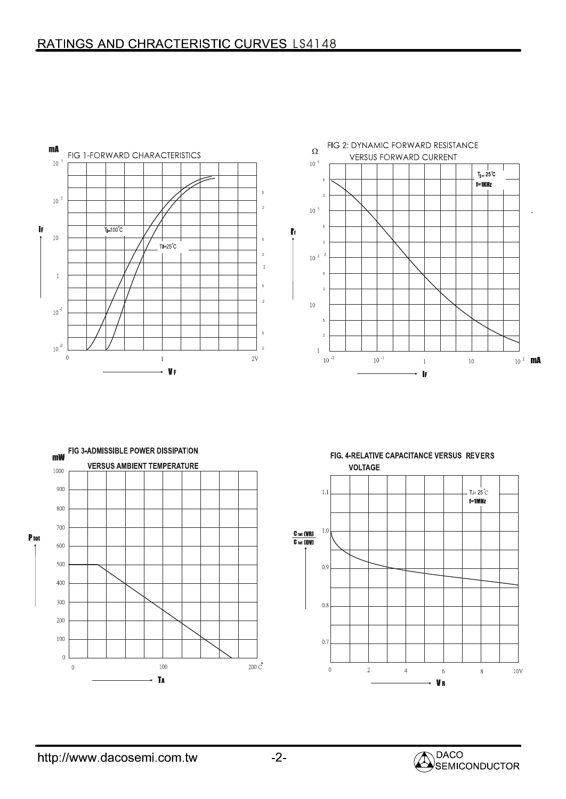





FIG. 4-RELATIVE CAPACITANCE VERSUS REVERS **VOLTAGE**